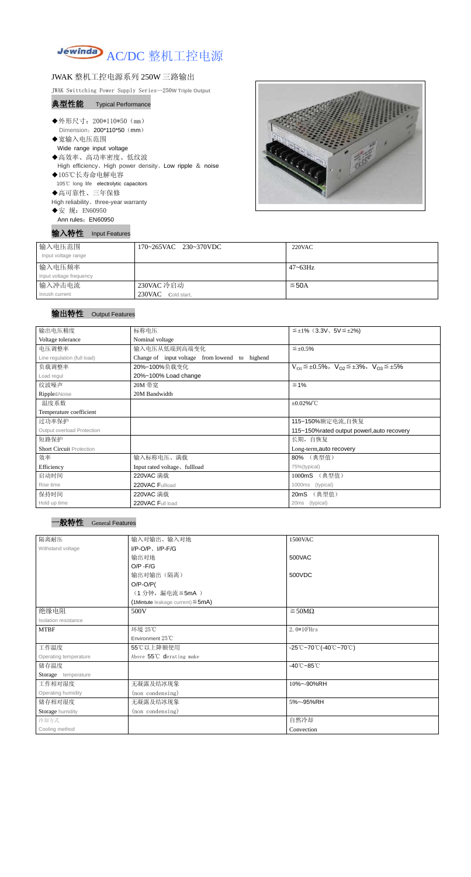

## JWAK 整机工控电源系列 250W 三路输出

JWAK Swittching Power Supply Series--250**W Triple Output**

## 典型性能 Typical Performance

- ◆外形尺寸: 200\*110\*50 (mm) Dimension: 200\*110\*50 (mm)
- ◆宽输入电压范围 Wide range input voltage
- ◆高效率、高功率密度、低纹波
- High efficiency、High power density、Low ripple & noise
- ◆105℃长寿命电解电容
- 105℃ long life electrolytic capacitors
- ◆高可靠性、三年保修
- High reliability、three-year warranty
- ◆安 规: EN60950
- Ann rules: EN60950

输入特性 Input Features



| 输入电压范围                  | 170~265VAC 230~370VDC | $220$ VAC    |
|-------------------------|-----------------------|--------------|
| Input voltage range     |                       |              |
| 输入电压频率                  |                       | $47 - 63$ Hz |
| Input voltage frequency |                       |              |
| 输入冲击电流                  | 230VAC 冷启动            | $≤$ 50A      |
| Inrush current          | 230VAC Cold start,    |              |

## 输出特性 Output Features

## 一般特性 General Features

| 输出电压精度                          | 标称电压                                              | $\leq \pm 1\%$ (3.3V, 5V $\leq \pm 2\%$ )                               |  |  |
|---------------------------------|---------------------------------------------------|-------------------------------------------------------------------------|--|--|
| Voltage tolerance               | Nominal voltage                                   |                                                                         |  |  |
| 电压调整率                           | 输入电压从低端到高端变化                                      | $\leq \pm 0.5\%$                                                        |  |  |
| Line regulation (full load)     | Change of input voltage from lowend to<br>highend |                                                                         |  |  |
| 负载调整率                           | 20%~100%负载变化                                      | $V_{O1} \leq \pm 0.5\%$ , $V_{O2} \leq \pm 3\%$ , $V_{O3} \leq \pm 5\%$ |  |  |
| Load regul                      | 20%~100% Load change                              |                                                                         |  |  |
| 纹波噪声                            | 20M 带宽                                            | $\leq 1\%$                                                              |  |  |
| Ripple&Noise                    | 20M Bandwidth                                     |                                                                         |  |  |
| 温度系数                            |                                                   | $\pm 0.02\%$ /°C                                                        |  |  |
| Temperature coefficient         |                                                   |                                                                         |  |  |
| 过功率保护                           |                                                   | 115~150%额定电流,自恢复                                                        |  |  |
| Output overload Protection      |                                                   | 115~150%rated output powerl, auto recovery                              |  |  |
| 短路保护                            |                                                   | 长期, 自恢复                                                                 |  |  |
| <b>Short Circuit Protection</b> |                                                   | Long-term, auto recovery                                                |  |  |
| 效率                              | 输入标称电压、满载                                         | 80% (典型值)                                                               |  |  |
| Efficiency                      | Input rated voltage, fullload                     | 75%(typical)                                                            |  |  |
| 启动时间                            | (典型值)<br>220VAC 满载<br>1000mS                      |                                                                         |  |  |
| Rise time                       | 220VAC Fullload                                   | (typical)<br>1000ms                                                     |  |  |
| 保持时间                            | 220VAC 满载                                         | (典型值)<br>20mS                                                           |  |  |
| Hold up time                    | 220VAC Full load                                  | (typical)<br>20ms                                                       |  |  |

| 隔离耐压                        | 输入对输出、输入对地<br>1500VAC                     |                                                                                       |  |
|-----------------------------|-------------------------------------------|---------------------------------------------------------------------------------------|--|
| Withstand voltage           | $I/P-O/P$ , $I/P$ -F/G                    |                                                                                       |  |
|                             | 输出对地                                      | 500VAC                                                                                |  |
|                             | $O/P - F/G$                               |                                                                                       |  |
|                             | 输出对输出(隔离)                                 | 500VDC                                                                                |  |
|                             | $O/P-O/P($                                |                                                                                       |  |
|                             | (1分钟, 漏电流 ≦ 5mA)                          |                                                                                       |  |
|                             | $(1$ Mintute leakage current) $\leq$ 5mA) |                                                                                       |  |
| 绝缘电阻                        | 500V                                      | $\geq$ 50M $\Omega$                                                                   |  |
| <b>Isolation resistance</b> |                                           |                                                                                       |  |
| <b>MTBF</b>                 | 环境 25℃                                    | $2.0*105$ Hrs                                                                         |  |
|                             | Environment 25°C                          |                                                                                       |  |
| 工作温度                        | 55℃以上降额使用                                 | $-25^{\circ}\text{C}-70^{\circ}\text{C}$ (-40 $^{\circ}\text{C}-70^{\circ}\text{C}$ ) |  |
| Operating temperature       | Above 55°C derating make                  |                                                                                       |  |
| 储存温度                        |                                           | $-40^{\circ}$ C $-85^{\circ}$ C                                                       |  |
| Storage temperature         |                                           |                                                                                       |  |
| 工作相对湿度                      | 无凝露及结冰现象                                  | 10%~-90%RH                                                                            |  |
| Operating humidity          | (non condensing)                          |                                                                                       |  |
| 储存相对湿度                      | 无凝露及结冰现象                                  | 5%~-95%RH                                                                             |  |
| Storage humidity            | (non condensing)                          |                                                                                       |  |
| 冷却方式                        |                                           | 自然冷却                                                                                  |  |
| Cooling method              |                                           | Convection                                                                            |  |